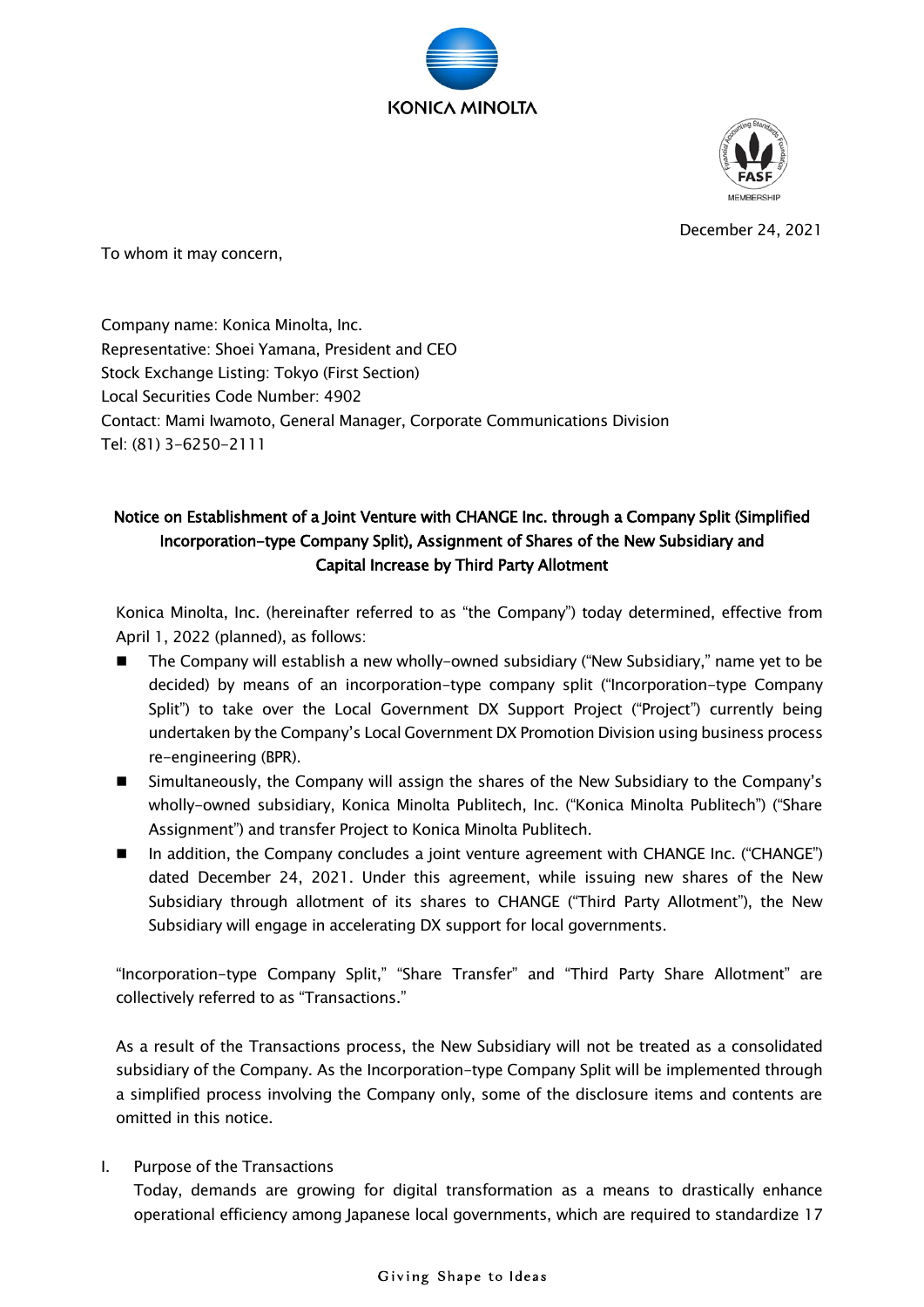



December 24, 2021

To whom it may concern,

Company name: Konica Minolta, Inc. Representative: Shoei Yamana, President and CEO Stock Exchange Listing: Tokyo (First Section) Local Securities Code Number: 4902 Contact: Mami Iwamoto, General Manager, Corporate Communications Division Tel: (81) 3-6250-2111

# Notice on Establishment of a Joint Venture with CHANGE Inc. through a Company Split (Simplified Incorporation-type Company Split), Assignment of Shares of the New Subsidiary and Capital Increase by Third Party Allotment

Konica Minolta, Inc. (hereinafter referred to as "the Company") today determined, effective from April 1, 2022 (planned), as follows:

- The Company will establish a new wholly-owned subsidiary ("New Subsidiary," name yet to be decided) by means of an incorporation-type company split ("Incorporation-type Company Split") to take over the Local Government DX Support Project ("Project") currently being undertaken by the Company's Local Government DX Promotion Division using business process re-engineering (BPR).
- Simultaneously, the Company will assign the shares of the New Subsidiary to the Company's wholly-owned subsidiary, Konica Minolta Publitech, Inc. ("Konica Minolta Publitech") ("Share Assignment") and transfer Project to Konica Minolta Publitech.
- In addition, the Company concludes a joint venture agreement with CHANGE Inc. ("CHANGE") dated December 24, 2021. Under this agreement, while issuing new shares of the New Subsidiary through allotment of its shares to CHANGE ("Third Party Allotment"), the New Subsidiary will engage in accelerating DX support for local governments.

"Incorporation-type Company Split," "Share Transfer" and "Third Party Share Allotment" are collectively referred to as "Transactions."

As a result of the Transactions process, the New Subsidiary will not be treated as a consolidated subsidiary of the Company. As the Incorporation-type Company Split will be implemented through a simplified process involving the Company only, some of the disclosure items and contents are omitted in this notice.

I. Purpose of the Transactions

Today, demands are growing for digital transformation as a means to drastically enhance operational efficiency among Japanese local governments, which are required to standardize 17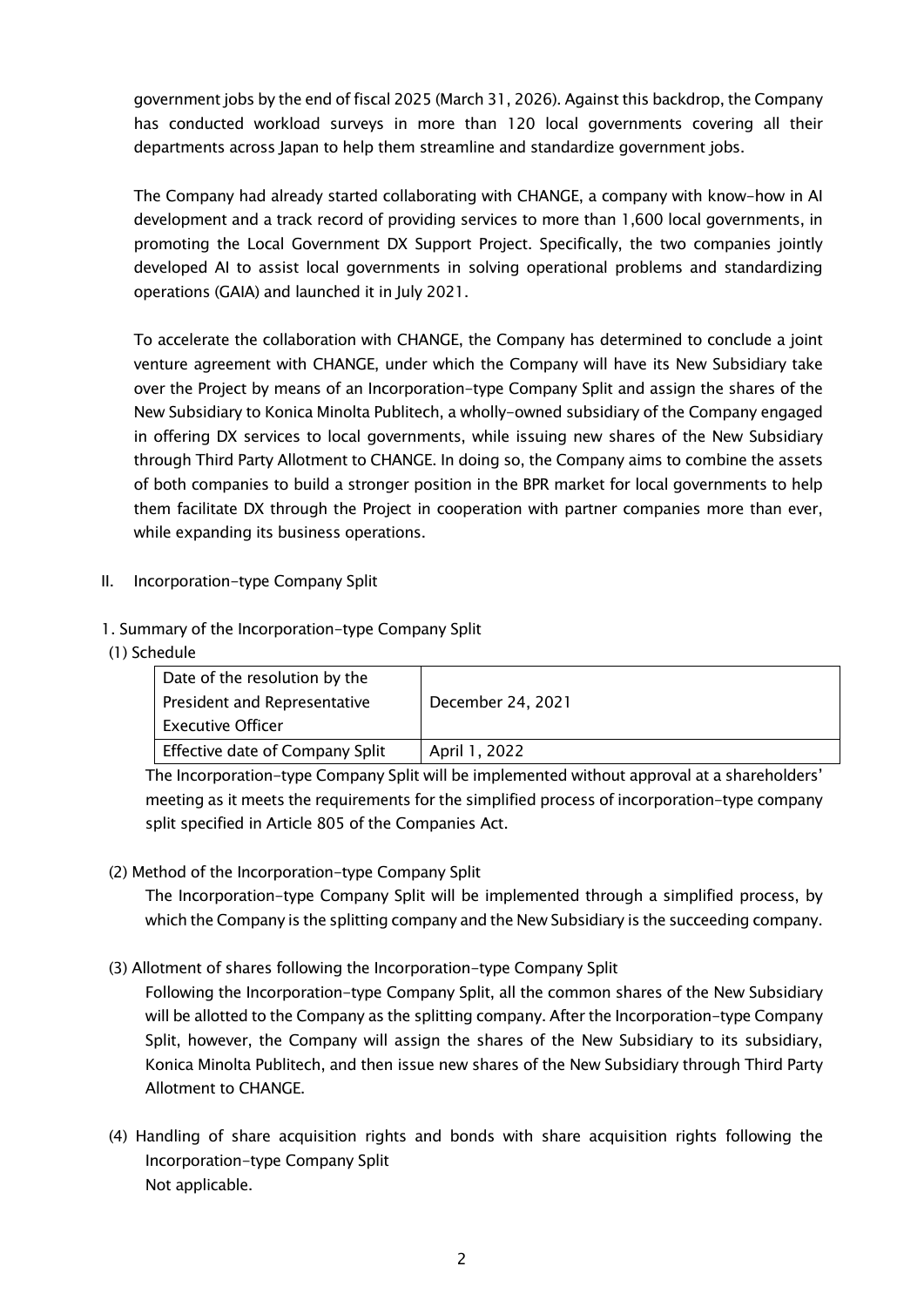government jobs by the end of fiscal 2025 (March 31, 2026). Against this backdrop, the Company has conducted workload surveys in more than 120 local governments covering all their departments across Japan to help them streamline and standardize government jobs.

The Company had already started collaborating with CHANGE, a company with know-how in AI development and a track record of providing services to more than 1,600 local governments, in promoting the Local Government DX Support Project. Specifically, the two companies jointly developed AI to assist local governments in solving operational problems and standardizing operations (GAIA) and launched it in July 2021.

To accelerate the collaboration with CHANGE, the Company has determined to conclude a joint venture agreement with CHANGE, under which the Company will have its New Subsidiary take over the Project by means of an Incorporation-type Company Split and assign the shares of the New Subsidiary to Konica Minolta Publitech, a wholly-owned subsidiary of the Company engaged in offering DX services to local governments, while issuing new shares of the New Subsidiary through Third Party Allotment to CHANGE. In doing so, the Company aims to combine the assets of both companies to build a stronger position in the BPR market for local governments to help them facilitate DX through the Project in cooperation with partner companies more than ever, while expanding its business operations.

- II. Incorporation-type Company Split
- 1. Summary of the Incorporation-type Company Split
- (1) Schedule

| Date of the resolution by the   |                   |
|---------------------------------|-------------------|
| President and Representative    | December 24, 2021 |
| <b>Executive Officer</b>        |                   |
| Effective date of Company Split | April 1, 2022     |

The Incorporation-type Company Split will be implemented without approval at a shareholders' meeting as it meets the requirements for the simplified process of incorporation-type company split specified in Article 805 of the Companies Act.

(2) Method of the Incorporation-type Company Split

The Incorporation-type Company Split will be implemented through a simplified process, by which the Company is the splitting company and the New Subsidiary is the succeeding company.

(3) Allotment of shares following the Incorporation-type Company Split

Following the Incorporation-type Company Split, all the common shares of the New Subsidiary will be allotted to the Company as the splitting company. After the Incorporation-type Company Split, however, the Company will assign the shares of the New Subsidiary to its subsidiary, Konica Minolta Publitech, and then issue new shares of the New Subsidiary through Third Party Allotment to CHANGE.

(4) Handling of share acquisition rights and bonds with share acquisition rights following the Incorporation-type Company Split Not applicable.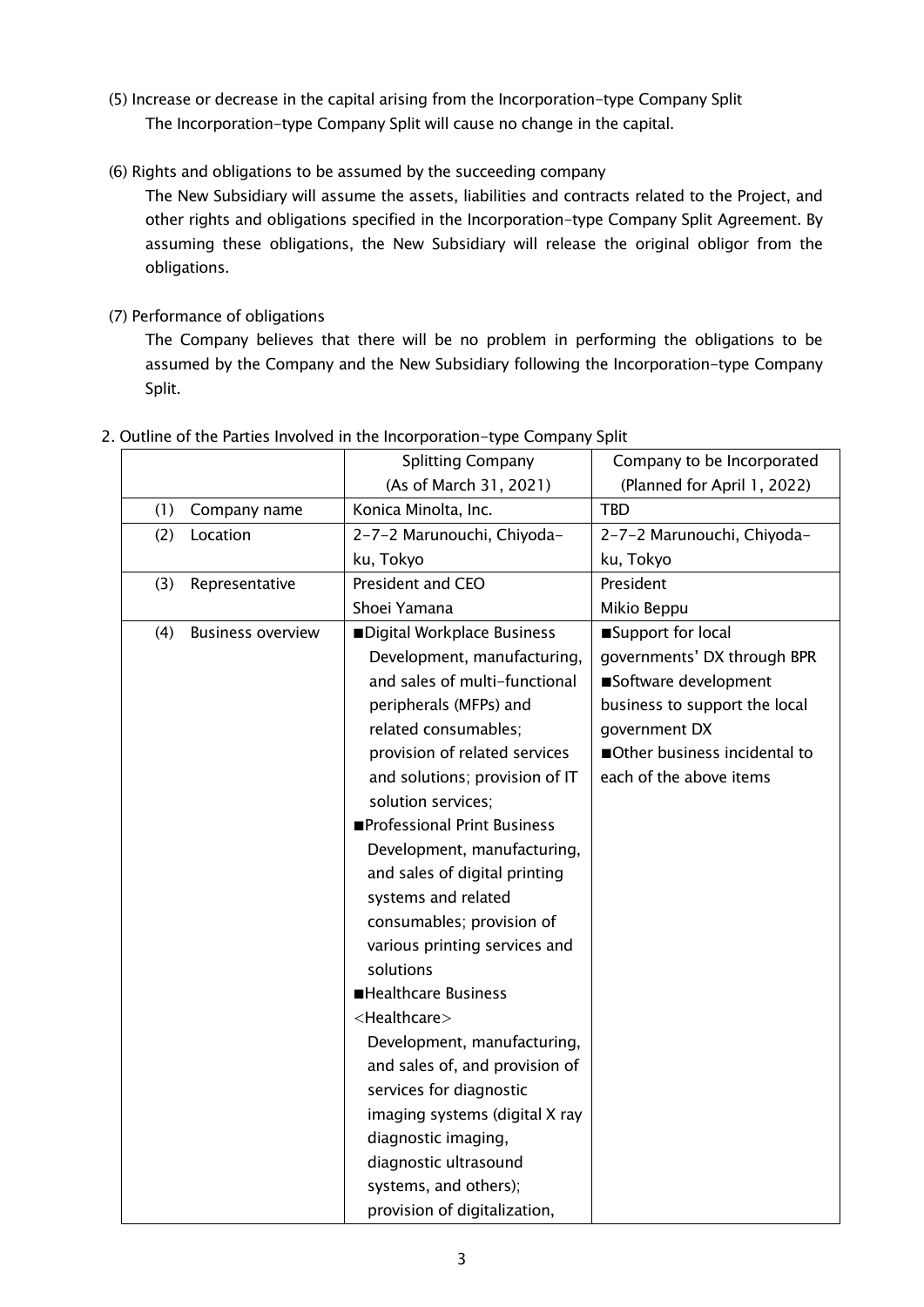- (5) Increase or decrease in the capital arising from the Incorporation-type Company Split The Incorporation-type Company Split will cause no change in the capital.
- (6) Rights and obligations to be assumed by the succeeding company

The New Subsidiary will assume the assets, liabilities and contracts related to the Project, and other rights and obligations specified in the Incorporation-type Company Split Agreement. By assuming these obligations, the New Subsidiary will release the original obligor from the obligations.

(7) Performance of obligations

The Company believes that there will be no problem in performing the obligations to be assumed by the Company and the New Subsidiary following the Incorporation-type Company Split.

|     |                          | <b>Splitting Company</b>       | Company to be Incorporated    |
|-----|--------------------------|--------------------------------|-------------------------------|
|     |                          | (As of March 31, 2021)         | (Planned for April 1, 2022)   |
| (1) | Company name             | Konica Minolta, Inc.           | <b>TBD</b>                    |
| (2) | Location                 | 2-7-2 Marunouchi, Chiyoda-     | 2-7-2 Marunouchi, Chiyoda-    |
|     |                          | ku, Tokyo                      | ku, Tokyo                     |
| (3) | Representative           | President and CEO              | President                     |
|     |                          | Shoei Yamana                   | Mikio Beppu                   |
| (4) | <b>Business overview</b> | Digital Workplace Business     | Support for local             |
|     |                          | Development, manufacturing,    | governments' DX through BPR   |
|     |                          | and sales of multi-functional  | Software development          |
|     |                          | peripherals (MFPs) and         | business to support the local |
|     |                          | related consumables;           | government DX                 |
|     |                          | provision of related services  | Other business incidental to  |
|     |                          | and solutions; provision of IT | each of the above items       |
|     |                          | solution services;             |                               |
|     |                          | Professional Print Business    |                               |
|     |                          | Development, manufacturing,    |                               |
|     |                          | and sales of digital printing  |                               |
|     |                          | systems and related            |                               |
|     |                          | consumables; provision of      |                               |
|     |                          | various printing services and  |                               |
|     |                          | solutions                      |                               |
|     |                          | <b>Healthcare Business</b>     |                               |
|     |                          | <healthcare></healthcare>      |                               |
|     |                          | Development, manufacturing,    |                               |
|     |                          | and sales of, and provision of |                               |
|     |                          | services for diagnostic        |                               |
|     |                          | imaging systems (digital X ray |                               |
|     |                          | diagnostic imaging,            |                               |
|     |                          | diagnostic ultrasound          |                               |
|     |                          | systems, and others);          |                               |
|     |                          | provision of digitalization,   |                               |

#### 2. Outline of the Parties Involved in the Incorporation-type Company Split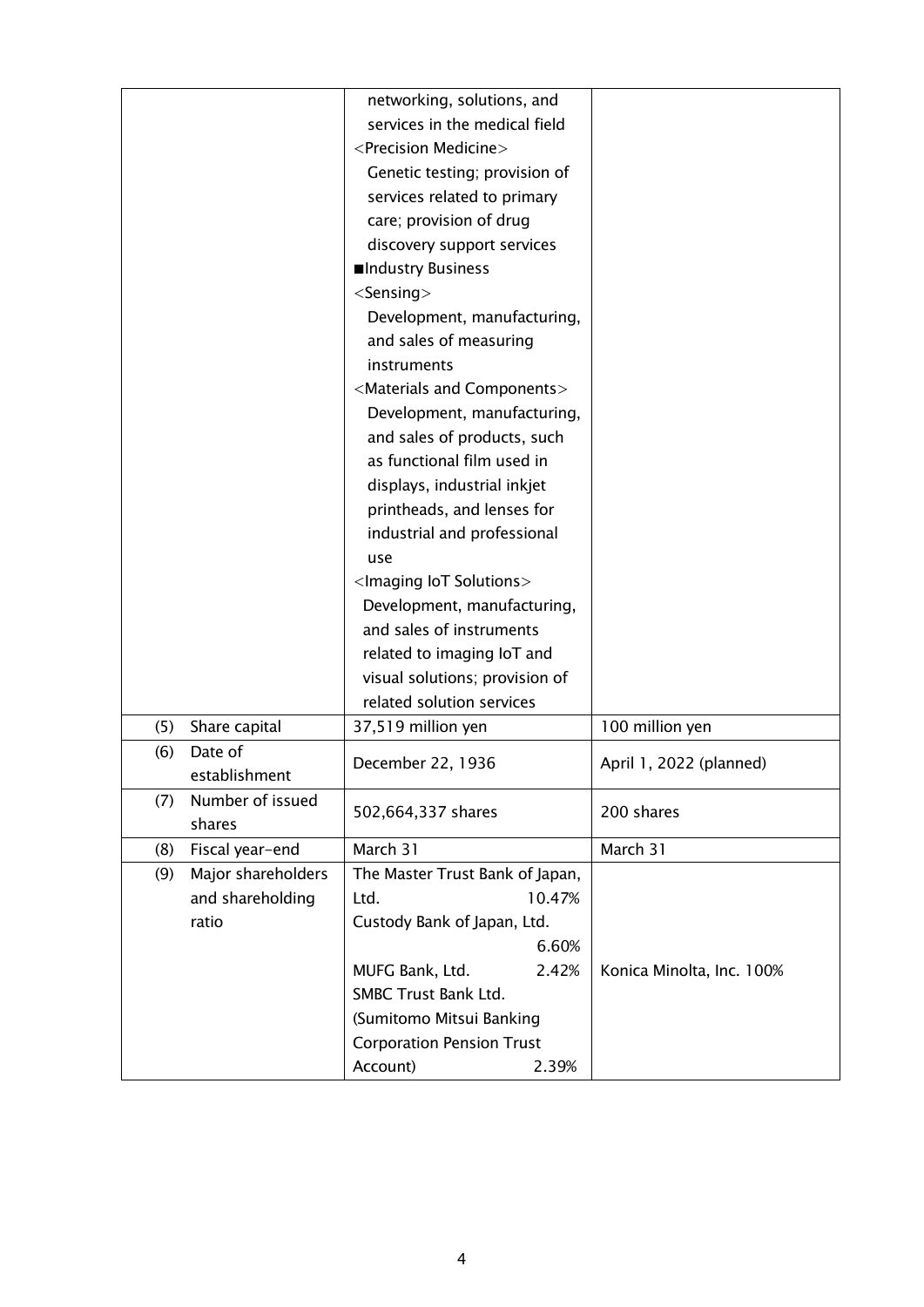|     |                    | networking, solutions, and                   |                           |
|-----|--------------------|----------------------------------------------|---------------------------|
|     |                    | services in the medical field                |                           |
|     |                    | <precision medicine=""></precision>          |                           |
|     |                    | Genetic testing; provision of                |                           |
|     |                    | services related to primary                  |                           |
|     |                    | care; provision of drug                      |                           |
|     |                    | discovery support services                   |                           |
|     |                    | ■Industry Business                           |                           |
|     |                    | $<$ Sensing $>$                              |                           |
|     |                    | Development, manufacturing,                  |                           |
|     |                    | and sales of measuring                       |                           |
|     |                    | instruments                                  |                           |
|     |                    | <materials and="" components=""></materials> |                           |
|     |                    | Development, manufacturing,                  |                           |
|     |                    | and sales of products, such                  |                           |
|     |                    | as functional film used in                   |                           |
|     |                    | displays, industrial inkjet                  |                           |
|     |                    | printheads, and lenses for                   |                           |
|     |                    | industrial and professional                  |                           |
|     |                    | use                                          |                           |
|     |                    | <lmaging lot="" solutions=""></lmaging>      |                           |
|     |                    | Development, manufacturing,                  |                           |
|     |                    | and sales of instruments                     |                           |
|     |                    | related to imaging IoT and                   |                           |
|     |                    | visual solutions; provision of               |                           |
|     |                    | related solution services                    |                           |
| (5) | Share capital      | 37,519 million yen                           | 100 million yen           |
| (6) | Date of            |                                              |                           |
|     | establishment      | December 22, 1936                            | April 1, 2022 (planned)   |
| (7) | Number of issued   |                                              |                           |
|     | shares             | 502,664,337 shares                           | 200 shares                |
| (8) | Fiscal year-end    | March 31                                     | March 31                  |
| (9) | Major shareholders | The Master Trust Bank of Japan,              |                           |
|     | and shareholding   | Ltd.<br>10.47%                               |                           |
|     | ratio              | Custody Bank of Japan, Ltd.                  |                           |
|     |                    | 6.60%                                        |                           |
|     |                    | MUFG Bank, Ltd.<br>2.42%                     | Konica Minolta, Inc. 100% |
|     |                    | SMBC Trust Bank Ltd.                         |                           |
|     |                    | (Sumitomo Mitsui Banking                     |                           |
|     |                    | <b>Corporation Pension Trust</b>             |                           |
|     |                    | Account)<br>2.39%                            |                           |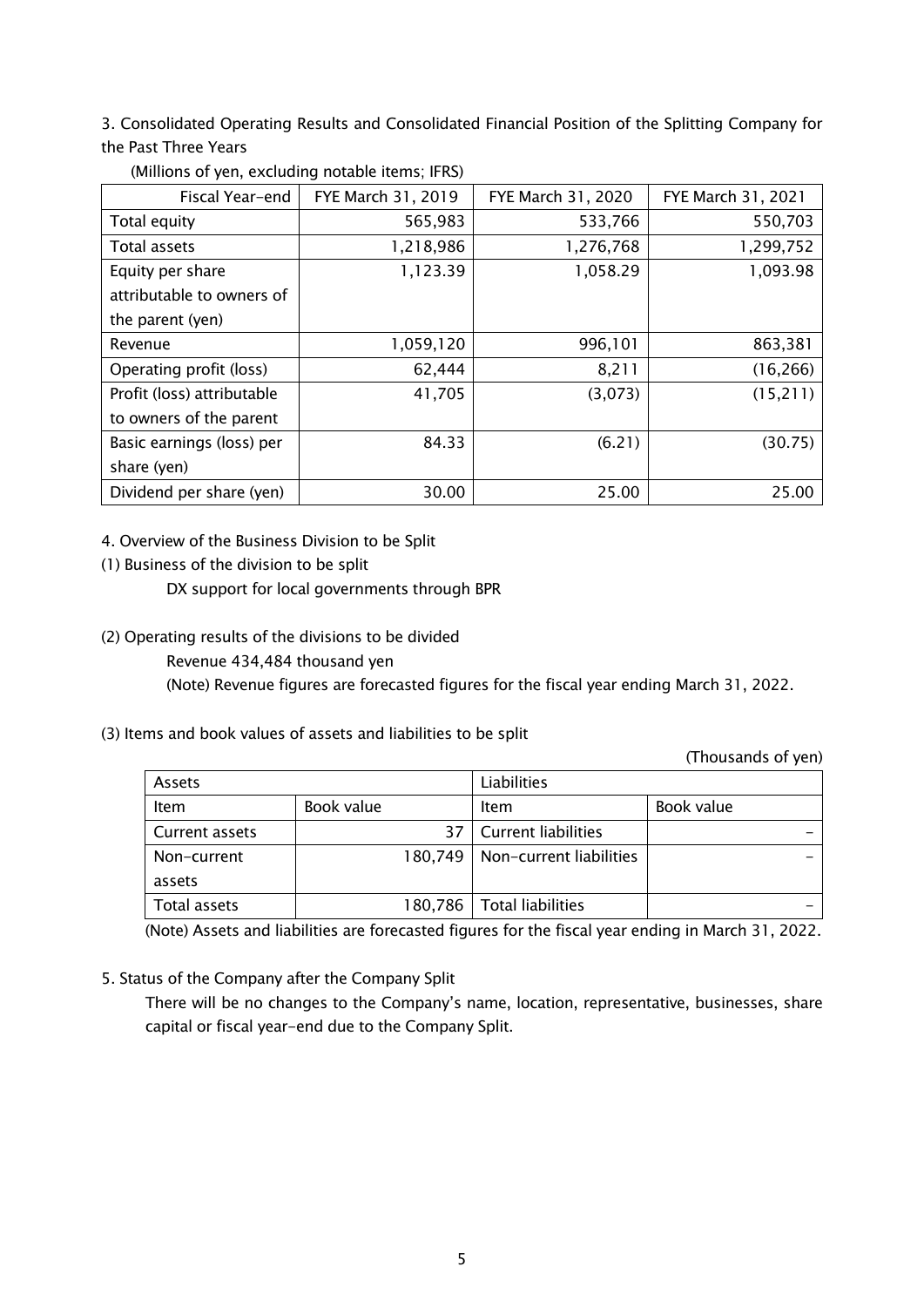3. Consolidated Operating Results and Consolidated Financial Position of the Splitting Company for the Past Three Years

| Fiscal Year-end            | FYE March 31, 2019 | FYE March 31, 2020 | FYE March 31, 2021 |
|----------------------------|--------------------|--------------------|--------------------|
| Total equity               | 565,983            | 533,766            | 550,703            |
| Total assets               | 1,218,986          | 1,276,768          | 1,299,752          |
| Equity per share           | 1,123.39           | 1,058.29           | 1,093.98           |
| attributable to owners of  |                    |                    |                    |
| the parent (yen)           |                    |                    |                    |
| Revenue                    | 1,059,120          | 996,101            | 863,381            |
| Operating profit (loss)    | 62,444             | 8,211              | (16, 266)          |
| Profit (loss) attributable | 41,705             | (3,073)            | (15,211)           |
| to owners of the parent    |                    |                    |                    |
| Basic earnings (loss) per  | 84.33              | (6.21)             | (30.75)            |
| share (yen)                |                    |                    |                    |
| Dividend per share (yen)   | 30.00              | 25.00              | 25.00              |

(Millions of yen, excluding notable items; IFRS)

4. Overview of the Business Division to be Split

(1) Business of the division to be split

DX support for local governments through BPR

(2) Operating results of the divisions to be divided

Revenue 434,484 thousand yen

(Note) Revenue figures are forecasted figures for the fiscal year ending March 31, 2022.

(3) Items and book values of assets and liabilities to be split

(Thousands of yen)

| Assets         |            | Liabilities |                             |            |
|----------------|------------|-------------|-----------------------------|------------|
| Item           | Book value |             | Item                        | Book value |
| Current assets |            | 37          | <b>Current liabilities</b>  |            |
| Non-current    | 180.749    |             | Non-current liabilities     |            |
| assets         |            |             |                             |            |
| Total assets   |            |             | 180,786   Total liabilities |            |

(Note) Assets and liabilities are forecasted figures for the fiscal year ending in March 31, 2022.

5. Status of the Company after the Company Split

There will be no changes to the Company's name, location, representative, businesses, share capital or fiscal year-end due to the Company Split.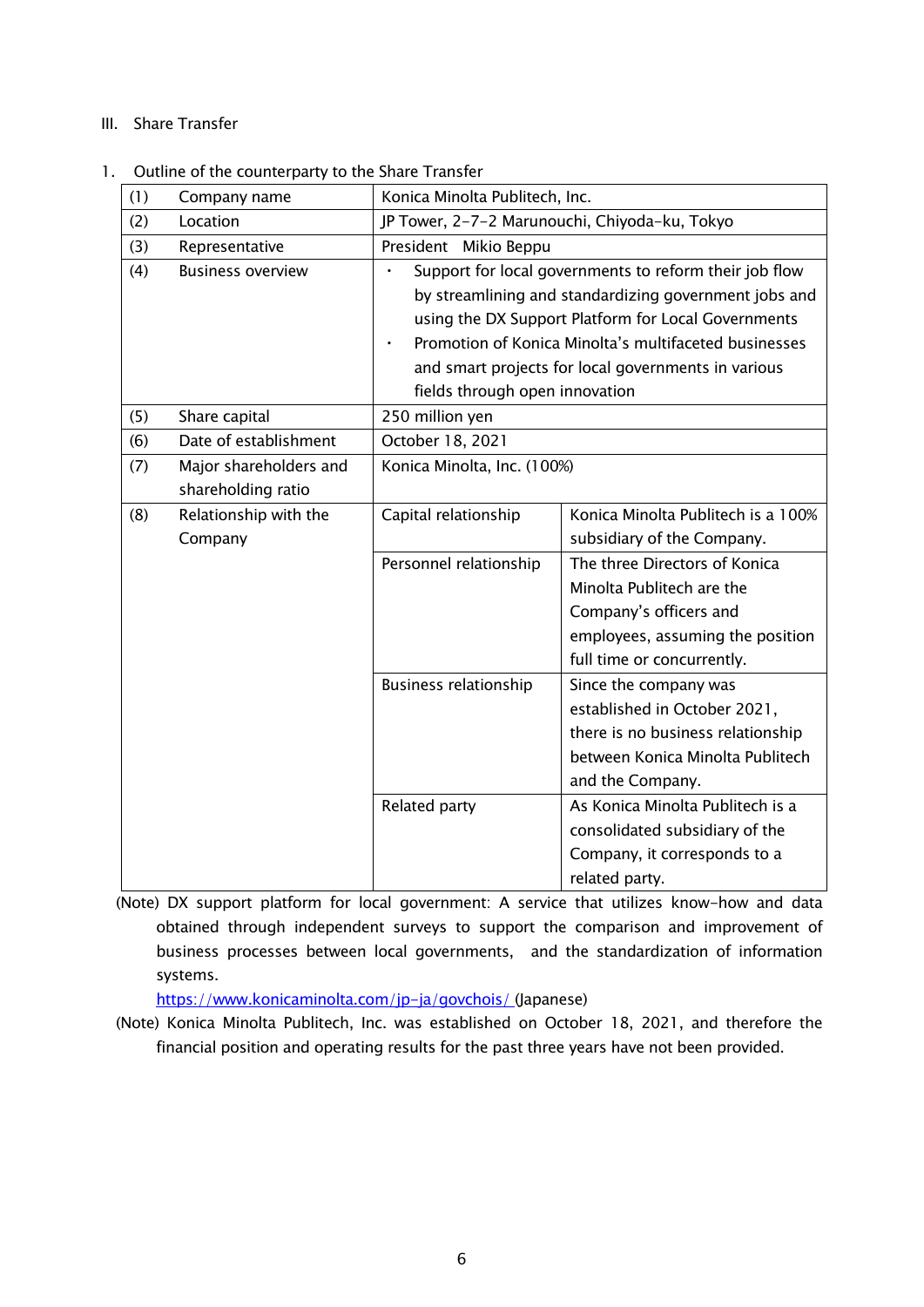#### III. Share Transfer

#### 1. Outline of the counterparty to the Share Transfer

| (1) | Company name                                 | Konica Minolta Publitech, Inc.                                                                                                                                                                                                                                                                                           |                                    |  |
|-----|----------------------------------------------|--------------------------------------------------------------------------------------------------------------------------------------------------------------------------------------------------------------------------------------------------------------------------------------------------------------------------|------------------------------------|--|
| (2) | Location                                     | JP Tower, 2-7-2 Marunouchi, Chiyoda-ku, Tokyo                                                                                                                                                                                                                                                                            |                                    |  |
| (3) | Representative                               | President Mikio Beppu                                                                                                                                                                                                                                                                                                    |                                    |  |
| (4) | <b>Business overview</b>                     | Support for local governments to reform their job flow<br>by streamlining and standardizing government jobs and<br>using the DX Support Platform for Local Governments<br>Promotion of Konica Minolta's multifaceted businesses<br>and smart projects for local governments in various<br>fields through open innovation |                                    |  |
| (5) | Share capital                                | 250 million yen                                                                                                                                                                                                                                                                                                          |                                    |  |
| (6) | Date of establishment                        | October 18, 2021                                                                                                                                                                                                                                                                                                         |                                    |  |
| (7) | Major shareholders and<br>shareholding ratio | Konica Minolta, Inc. (100%)                                                                                                                                                                                                                                                                                              |                                    |  |
| (8) | Relationship with the                        | Capital relationship                                                                                                                                                                                                                                                                                                     | Konica Minolta Publitech is a 100% |  |
|     | Company                                      |                                                                                                                                                                                                                                                                                                                          | subsidiary of the Company.         |  |
|     |                                              | Personnel relationship                                                                                                                                                                                                                                                                                                   | The three Directors of Konica      |  |
|     |                                              |                                                                                                                                                                                                                                                                                                                          | Minolta Publitech are the          |  |
|     |                                              |                                                                                                                                                                                                                                                                                                                          | Company's officers and             |  |
|     |                                              |                                                                                                                                                                                                                                                                                                                          | employees, assuming the position   |  |
|     |                                              |                                                                                                                                                                                                                                                                                                                          | full time or concurrently.         |  |
|     |                                              | <b>Business relationship</b>                                                                                                                                                                                                                                                                                             | Since the company was              |  |
|     |                                              |                                                                                                                                                                                                                                                                                                                          | established in October 2021,       |  |
|     |                                              |                                                                                                                                                                                                                                                                                                                          | there is no business relationship  |  |
|     |                                              |                                                                                                                                                                                                                                                                                                                          | between Konica Minolta Publitech   |  |
|     |                                              |                                                                                                                                                                                                                                                                                                                          | and the Company.                   |  |
|     |                                              | Related party                                                                                                                                                                                                                                                                                                            | As Konica Minolta Publitech is a   |  |
|     |                                              |                                                                                                                                                                                                                                                                                                                          | consolidated subsidiary of the     |  |
|     |                                              |                                                                                                                                                                                                                                                                                                                          | Company, it corresponds to a       |  |
|     |                                              |                                                                                                                                                                                                                                                                                                                          | related party.                     |  |

(Note) DX support platform for local government: A service that utilizes know-how and data obtained through independent surveys to support the comparison and improvement of business processes between local governments, and the standardization of information systems.

<https://www.konicaminolta.com/jp-ja/govchois/> (Japanese)

(Note) Konica Minolta Publitech, Inc. was established on October 18, 2021, and therefore the financial position and operating results for the past three years have not been provided.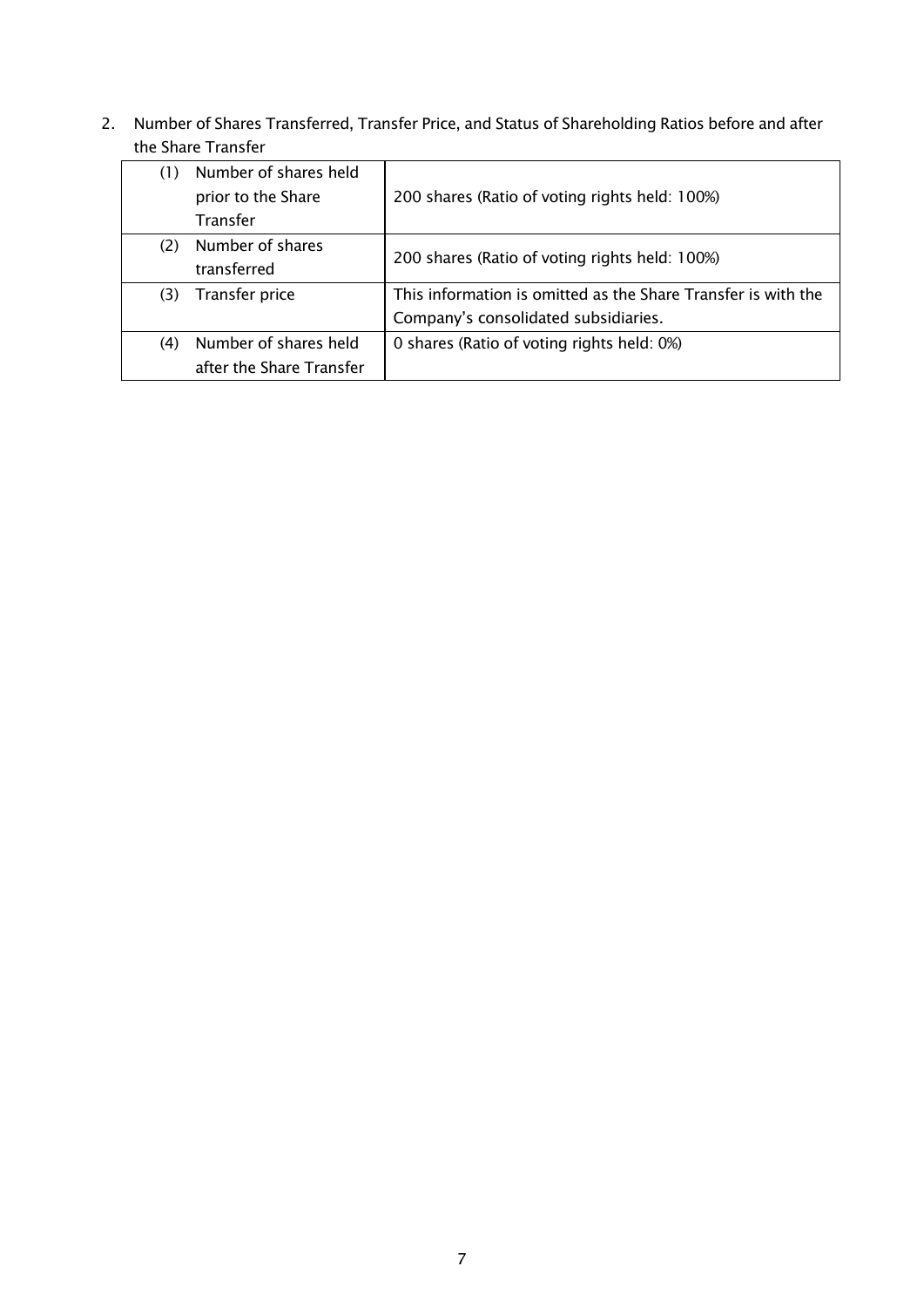2. Number of Shares Transferred, Transfer Price, and Status of Shareholding Ratios before and after the Share Transfer

| (1) | Number of shares held<br>prior to the Share | 200 shares (Ratio of voting rights held: 100%)                |  |
|-----|---------------------------------------------|---------------------------------------------------------------|--|
|     | Transfer                                    |                                                               |  |
| (2) | Number of shares                            | 200 shares (Ratio of voting rights held: 100%)                |  |
|     | transferred                                 |                                                               |  |
| (3) | Transfer price                              | This information is omitted as the Share Transfer is with the |  |
|     |                                             | Company's consolidated subsidiaries.                          |  |
| (4) | Number of shares held                       | 0 shares (Ratio of voting rights held: 0%)                    |  |
|     | after the Share Transfer                    |                                                               |  |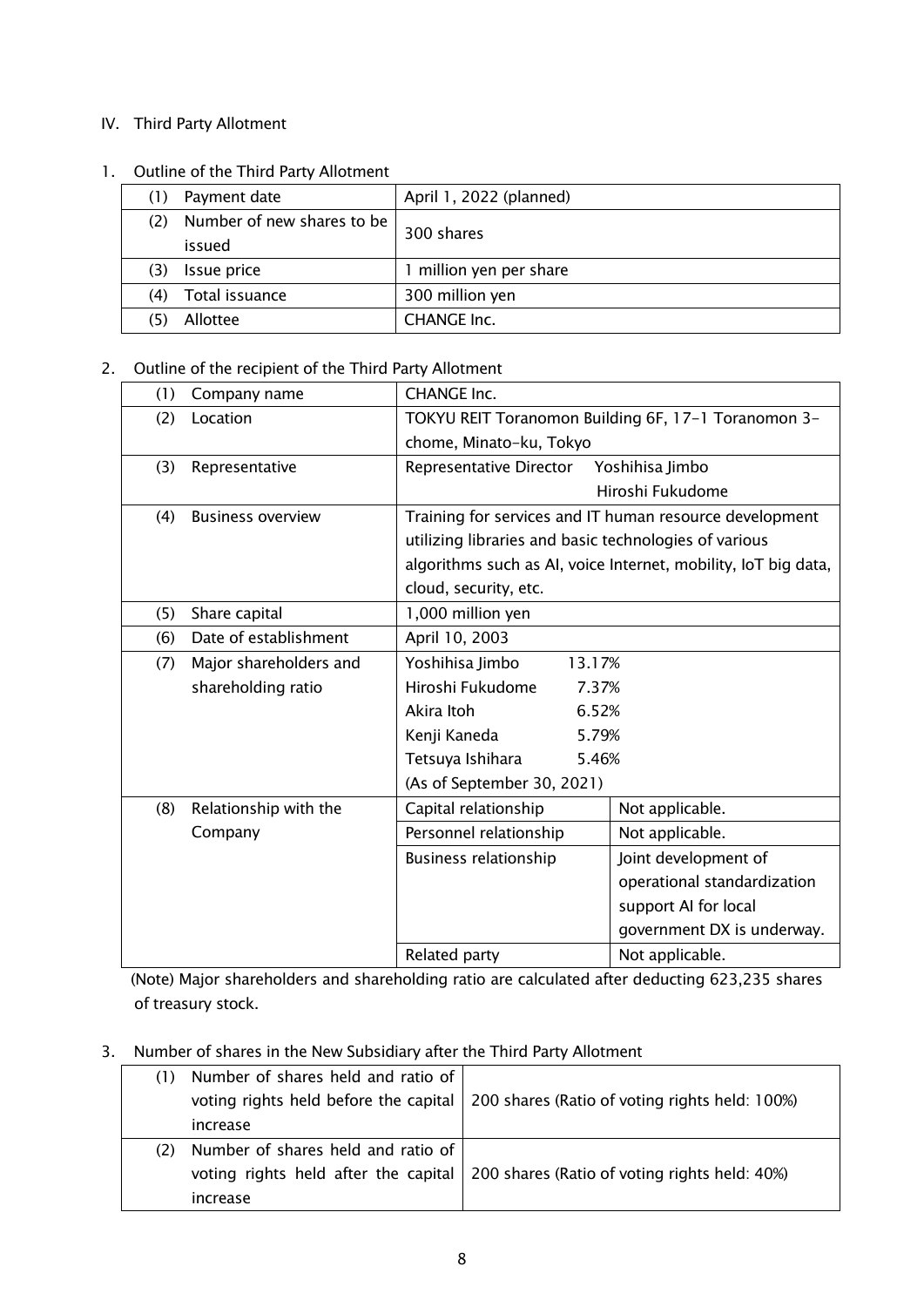### IV. Third Party Allotment

#### 1. Outline of the Third Party Allotment

|     | Payment date               | April 1, 2022 (planned) |  |
|-----|----------------------------|-------------------------|--|
|     | Number of new shares to be |                         |  |
|     | issued                     | 300 shares              |  |
| (3) | Issue price                | million yen per share   |  |
| (4) | Total issuance             | 300 million yen         |  |
|     | Allottee                   | <b>CHANGE Inc.</b>      |  |

## 2. Outline of the recipient of the Third Party Allotment

| (1) | Company name             | <b>CHANGE Inc.</b>                                    |                                                                |
|-----|--------------------------|-------------------------------------------------------|----------------------------------------------------------------|
| (2) | Location                 | TOKYU REIT Toranomon Building 6F, 17-1 Toranomon 3-   |                                                                |
|     |                          | chome, Minato-ku, Tokyo                               |                                                                |
| (3) | Representative           | Representative Director                               | Yoshihisa Jimbo                                                |
|     |                          |                                                       | Hiroshi Fukudome                                               |
| (4) | <b>Business overview</b> |                                                       | Training for services and IT human resource development        |
|     |                          | utilizing libraries and basic technologies of various |                                                                |
|     |                          |                                                       | algorithms such as AI, voice Internet, mobility, IoT big data, |
|     |                          | cloud, security, etc.                                 |                                                                |
| (5) | Share capital            | 1,000 million yen                                     |                                                                |
| (6) | Date of establishment    | April 10, 2003                                        |                                                                |
| (7) | Major shareholders and   | Yoshihisa Jimbo<br>13.17%                             |                                                                |
|     | shareholding ratio       | Hiroshi Fukudome<br>7.37%                             |                                                                |
|     |                          | Akira Itoh<br>6.52%                                   |                                                                |
|     |                          | Kenji Kaneda<br>5.79%                                 |                                                                |
|     |                          | Tetsuya Ishihara<br>5.46%                             |                                                                |
|     |                          | (As of September 30, 2021)                            |                                                                |
| (8) | Relationship with the    | Capital relationship                                  | Not applicable.                                                |
|     | Company                  | Personnel relationship                                | Not applicable.                                                |
|     |                          | <b>Business relationship</b>                          | Joint development of                                           |
|     |                          |                                                       | operational standardization                                    |
|     |                          |                                                       | support AI for local                                           |
|     |                          |                                                       | government DX is underway.                                     |
|     |                          | Related party                                         | Not applicable.                                                |

(Note) Major shareholders and shareholding ratio are calculated after deducting 623,235 shares of treasury stock.

### 3. Number of shares in the New Subsidiary after the Third Party Allotment

|     | (1) Number of shares held and ratio of |                                                |
|-----|----------------------------------------|------------------------------------------------|
|     | voting rights held before the capital  | 200 shares (Ratio of voting rights held: 100%) |
|     | increase                               |                                                |
| (2) | Number of shares held and ratio of     |                                                |
|     | voting rights held after the capital   | 200 shares (Ratio of voting rights held: 40%)  |
|     | increase                               |                                                |